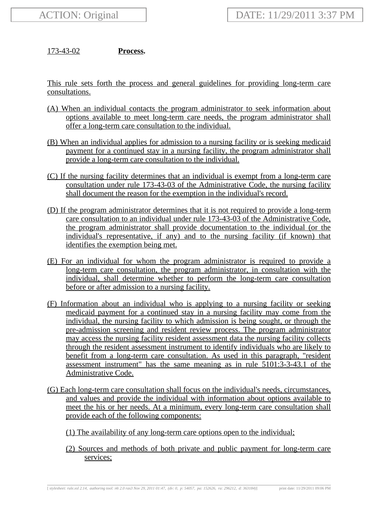173-43-02 **Process.**

This rule sets forth the process and general guidelines for providing long-term care consultations.

- (A) When an individual contacts the program administrator to seek information about options available to meet long-term care needs, the program administrator shall offer a long-term care consultation to the individual.
- (B) When an individual applies for admission to a nursing facility or is seeking medicaid payment for a continued stay in a nursing facility, the program administrator shall provide a long-term care consultation to the individual.
- (C) If the nursing facility determines that an individual is exempt from a long-term care consultation under rule 173-43-03 of the Administrative Code, the nursing facility shall document the reason for the exemption in the individual's record.
- (D) If the program administrator determines that it is not required to provide a long-term care consultation to an individual under rule 173-43-03 of the Administrative Code, the program administrator shall provide documentation to the individual (or the individual's representative, if any) and to the nursing facility (if known) that identifies the exemption being met.
- (E) For an individual for whom the program administrator is required to provide a long-term care consultation, the program administrator, in consultation with the individual, shall determine whether to perform the long-term care consultation before or after admission to a nursing facility.
- (F) Information about an individual who is applying to a nursing facility or seeking medicaid payment for a continued stay in a nursing facility may come from the individual, the nursing facility to which admission is being sought, or through the pre-admission screening and resident review process. The program administrator may access the nursing facility resident assessment data the nursing facility collects through the resident assessment instrument to identify individuals who are likely to benefit from a long-term care consultation. As used in this paragraph, "resident assessment instrument" has the same meaning as in rule 5101:3-3-43.1 of the Administrative Code.
- (G) Each long-term care consultation shall focus on the individual's needs, circumstances, and values and provide the individual with information about options available to meet the his or her needs. At a minimum, every long-term care consultation shall provide each of the following components:
	- (1) The availability of any long-term care options open to the individual;
	- (2) Sources and methods of both private and public payment for long-term care services;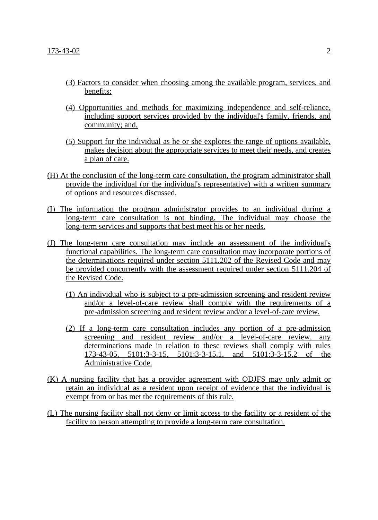- (3) Factors to consider when choosing among the available program, services, and benefits;
- (4) Opportunities and methods for maximizing independence and self-reliance, including support services provided by the individual's family, friends, and community; and,
- (5) Support for the individual as he or she explores the range of options available, makes decision about the appropriate services to meet their needs, and creates a plan of care.
- (H) At the conclusion of the long-term care consultation, the program administrator shall provide the individual (or the individual's representative) with a written summary of options and resources discussed.
- (I) The information the program administrator provides to an individual during a long-term care consultation is not binding. The individual may choose the long-term services and supports that best meet his or her needs.
- (J) The long-term care consultation may include an assessment of the individual's functional capabilities. The long-term care consultation may incorporate portions of the determinations required under section 5111.202 of the Revised Code and may be provided concurrently with the assessment required under section 5111.204 of the Revised Code.
	- (1) An individual who is subject to a pre-admission screening and resident review and/or a level-of-care review shall comply with the requirements of a pre-admission screening and resident review and/or a level-of-care review.
	- (2) If a long-term care consultation includes any portion of a pre-admission screening and resident review and/or a level-of-care review, any determinations made in relation to these reviews shall comply with rules 173-43-05, 5101:3-3-15, 5101:3-3-15.1, and 5101:3-3-15.2 of the Administrative Code.
- (K) A nursing facility that has a provider agreement with ODJFS may only admit or retain an individual as a resident upon receipt of evidence that the individual is exempt from or has met the requirements of this rule.
- (L) The nursing facility shall not deny or limit access to the facility or a resident of the facility to person attempting to provide a long-term care consultation.